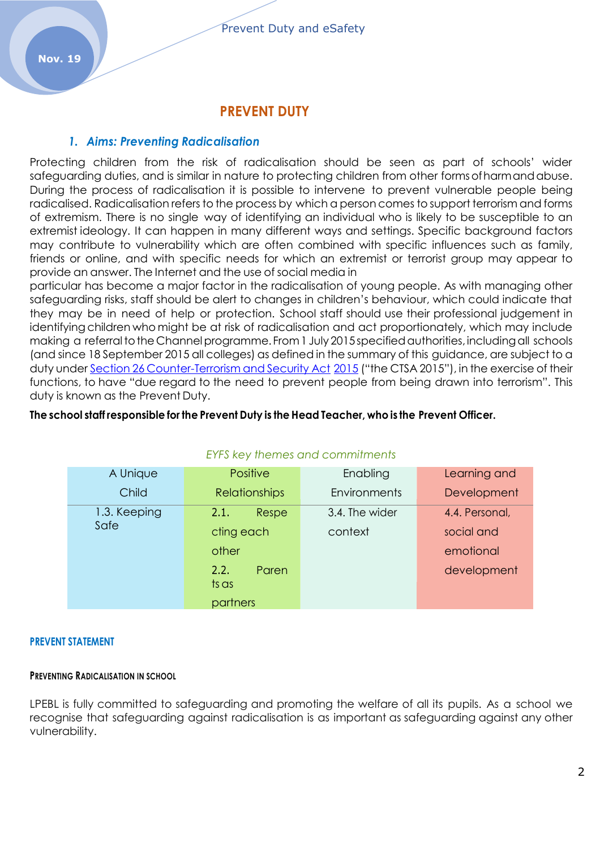## **PREVENT DUTY**

#### *1. Aims: Preventing Radicalisation*

Protecting children from the risk of radicalisation should be seen as part of schools' wider safeguarding duties, and is similar in nature to protecting children from other formsofharmandabuse. During the process of radicalisation it is possible to intervene to prevent vulnerable people being radicalised. Radicalisation refers to the process by which a person comes to support terrorism and forms of extremism. There is no single way of identifying an individual who is likely to be susceptible to an extremist ideology. It can happen in many different ways and settings. Specific background factors may contribute to vulnerability which are often combined with specific influences such as family, friends or online, and with specific needs for which an extremist or terrorist group may appear to provide an answer. The Internet and the use of social media in

particular has become a major factor in the radicalisation of young people. As with managing other safeguarding risks, staff should be alert to changes in children's behaviour, which could indicate that they may be in need of help or protection. School staff should use their professional judgement in identifying children who might be at risk of radicalisation and act proportionately, which may include making a referral to the Channel programme. From 1 July 2015 specified authorities, including all schools (and since 18 September 2015 all colleges) as defined in the summary of this guidance, are subject to a duty under Section 26 [Counter-Terrorism](http://www.legislation.gov.uk/ukpga/2015/6/section/26/enacted) and Security Act [2015](http://www.legislation.gov.uk/ukpga/2015/6/section/26/enacted) ("the CTSA 2015"), in the exercise of their functions, to have "due regard to the need to prevent people from being drawn into terrorism". This duty is known as the Prevent Duty.

#### **The school staff responsible for the Prevent Duty is the Head Teacher, who is the Prevent Officer.**

| EYES KEY MEMES AND COMMITMENTS |                                                                            |                           |                                                          |  |
|--------------------------------|----------------------------------------------------------------------------|---------------------------|----------------------------------------------------------|--|
| A Unique                       | <b>Positive</b>                                                            | Enabling                  | Learning and                                             |  |
| Child                          | <b>Relationships</b>                                                       | Environments              | Development                                              |  |
| 1.3. Keeping<br>Safe           | Respe<br>2.1.<br>cting each<br>other<br>2.2.<br>Paren<br>ts as<br>partners | 3.4. The wider<br>context | 4.4. Personal,<br>social and<br>emotional<br>development |  |

## *EYFS key themes and commitments*

#### **PREVENT STATEMENT**

#### **PREVENTING RADICALISATION IN SCHOOL**

LPEBL is fully committed to safeguarding and promoting the welfare of all its pupils. As a school we recognise that safeguarding against radicalisation is as important as safeguarding against any other vulnerability.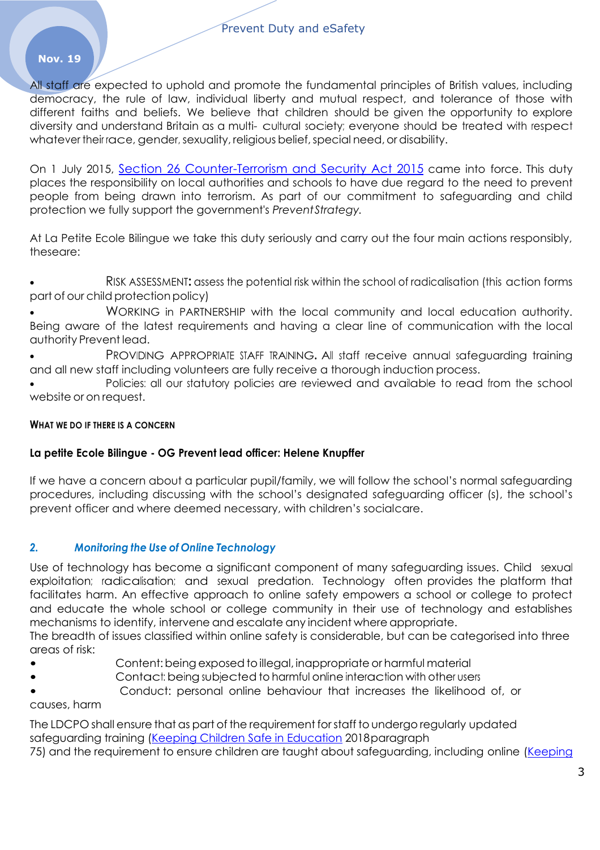All staff are expected to uphold and promote the fundamental principles of British values, including democracy, the rule of law, individual liberty and mutual respect, and tolerance of those with different faiths and beliefs. We believe that children should be given the opportunity to explore diversity and understand Britain as a multi- cultural society; everyone should be treated with respect whatever their race, gender, sexuality, religious belief, special need, or disability.

On 1 July 2015, Section 26 [Counter-Terrorism](http://www.legislation.gov.uk/ukpga/2015/6/section/26/enacted) and Security Act 2015 came into force. This duty places the responsibility on local authorities and schools to have due regard to the need to prevent people from being drawn into terrorism. As part of our commitment to safeguarding and child protection we fully support the government's *PreventStrategy.*

At La Petite Ecole Bilingue we take this duty seriously and carry out the four main actions responsibly, theseare:

 RISK ASSESSMENT**:** assess the potential risk within the school of radicalisation (this action forms part of our child protection policy)

 WORKING in PARTNERSHIP with the local community and local education authority. Being aware of the latest requirements and having a clear line of communication with the local authority Prevent lead.

PROVIDING APPROPRIATE STAFF TRAINING. All staff receive annual safeguarding training and all new staff including volunteers are fully receive a thorough induction process.

Policies: all our statutory policies are reviewed and available to read from the school website or on request.

#### **WHAT WE DO IF THERE IS A CONCERN**

#### **La petite Ecole Bilingue - OG Prevent lead officer: Helene Knupffer**

If we have a concern about a particular pupil/family, we will follow the school's normal safeguarding procedures, including discussing with the school's designated safeguarding officer (s), the school's prevent officer and where deemed necessary, with children's socialcare.

## *2. Monitoring the Use of Online Technology*

Use of technology has become a significant component of many safeguarding issues. Child sexual exploitation; radicalisation; and sexual predation. Technology often provides the platform that facilitates harm. An effective approach to online safety empowers a school or college to protect and educate the whole school or college community in their use of technology and establishes mechanisms to identify, intervene and escalate any incident where appropriate.

The breadth of issues classified within online safety is considerable, but can be categorised into three areas of risk:

- Content:being exposed toillegal, inappropriate or harmful material
- Contact: being subjected to harmful online interaction with other users
- Conduct: personal online behaviour that increases the likelihood of, or

#### causes, harm

The LDCPO shall ensure that as part of the requirement forstaff to undergo regularly updated safeguarding training [\(Keeping Children Safe in Education](https://assets.publishing.service.gov.uk/government/uploads/system/uploads/attachment_data/file/741315/Keeping_Children_Safe_in_Education_2018__Part_One__14.09.18.pdf) 2018paragraph

75) and the requirement to ensure children are taught about safeguarding, including online [\(Keeping](https://assets.publishing.service.gov.uk/government/uploads/system/uploads/attachment_data/file/741315/Keeping_Children_Safe_in_Education_2018__Part_One__14.09.18.pdf)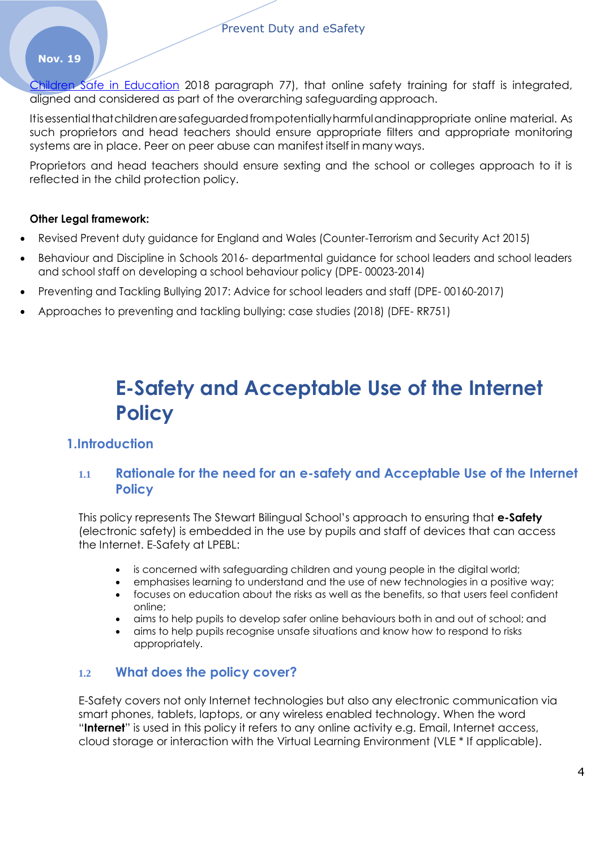Children Safe in Education 2018 paragraph 77), that online safety training for staff is integrated, aligned and considered as part of the overarching safeguarding approach.

Itisessentialthatchildrenaresafeguardedfrompotentiallyharmfulandinappropriate online material. As such proprietors and head teachers should ensure appropriate filters and appropriate monitoring systems are in place. Peer on peer abuse can manifest itself in many ways.

Proprietors and head teachers should ensure sexting and the school or colleges approach to it is reflected in the child protection policy.

### **Other Legal framework:**

- Revised Prevent duty guidance for England and Wales (Counter-Terrorism and Security Act 2015)
- Behaviour and Discipline in Schools 2016- departmental guidance for school leaders and school leaders and school staff on developing a school behaviour policy (DPE- 00023-2014)
- Preventing and Tackling Bullying 2017: Advice for school leaders and staff (DPE- 00160-2017)
- Approaches to preventing and tackling bullying: case studies (2018) (DFE- RR751)

# **E-Safety and Acceptable Use of the Internet Policy**

## **1.Introduction**

## **1.1 Rationale for the need for an e-safety and Acceptable Use of the Internet Policy**

This policy represents The Stewart Bilingual School's approach to ensuring that **e-Safety**  (electronic safety) is embedded in the use by pupils and staff of devices that can access the Internet. E-Safety at LPEBL:

- is concerned with safeguarding children and young people in the digital world;
- emphasises learning to understand and the use of new technologies in a positive way;
- focuses on education about the risks as well as the benefits, so that users feel confident online;
- aims to help pupils to develop safer online behaviours both in and out of school; and
- aims to help pupils recognise unsafe situations and know how to respond to risks appropriately.

## **1.2 What does the policy cover?**

E-Safety covers not only Internet technologies but also any electronic communication via smart phones, tablets, laptops, or any wireless enabled technology. When the word "**Internet**" is used in this policy it refers to any online activity e.g. Email, Internet access, cloud storage or interaction with the Virtual Learning Environment (VLE \* If applicable).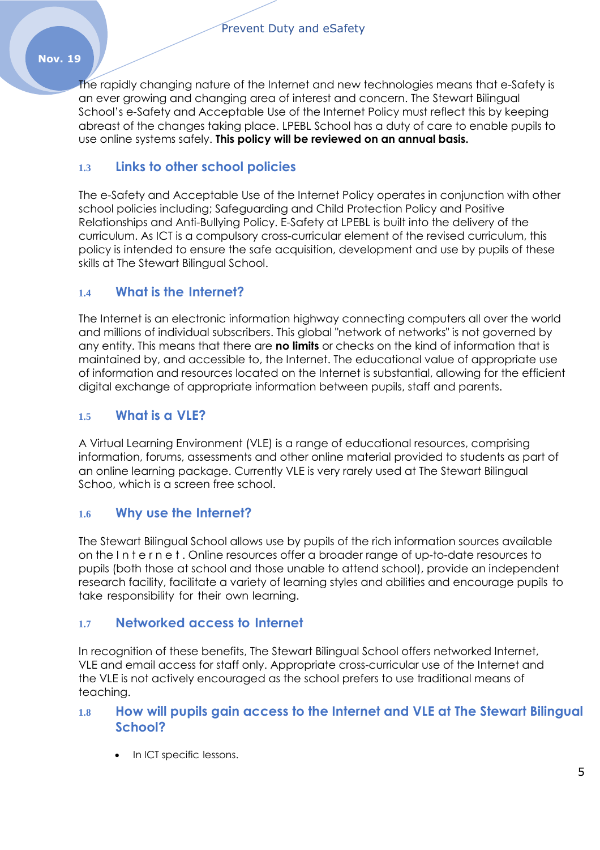The rapidly changing nature of the Internet and new technologies means that e-Safety is an ever growing and changing area of interest and concern. The Stewart Bilingual School's e-Safety and Acceptable Use of the Internet Policy must reflect this by keeping abreast of the changes taking place. LPEBL School has a duty of care to enable pupils to use online systems safely. **This policy will be reviewed on an annual basis.**

## **1.3 Links to other school policies**

The e-Safety and Acceptable Use of the Internet Policy operates in conjunction with other school policies including; Safeguarding and Child Protection Policy and Positive Relationships and Anti-Bullying Policy. E-Safety at LPEBL is built into the delivery of the curriculum. As ICT is a compulsory cross-curricular element of the revised curriculum, this policy is intended to ensure the safe acquisition, development and use by pupils of these skills at The Stewart Bilingual School.

## **1.4 What is the Internet?**

The Internet is an electronic information highway connecting computers all over the world and millions of individual subscribers. This global "network of networks" is not governed by any entity. This means that there are **no limits** or checks on the kind of information that is maintained by, and accessible to, the Internet. The educational value of appropriate use of information and resources located on the Internet is substantial, allowing for the efficient digital exchange of appropriate information between pupils, staff and parents.

## **1.5 What is a VLE?**

A Virtual Learning Environment (VLE) is a range of educational resources, comprising information, forums, assessments and other online material provided to students as part of an online learning package. Currently VLE is very rarely used at The Stewart Bilingual Schoo, which is a screen free school.

## **1.6 Why use the Internet?**

The Stewart Bilingual School allows use by pupils of the rich information sources available on the I n t e r n e t . Online resources offer a broader range of up-to-date resources to pupils (both those at school and those unable to attend school), provide an independent research facility, facilitate a variety of learning styles and abilities and encourage pupils to take responsibility for their own learning.

## **1.7 Networked access to Internet**

In recognition of these benefits, The Stewart Bilingual School offers networked Internet, VLE and email access for staff only. Appropriate cross-curricular use of the Internet and the VLE is not actively encouraged as the school prefers to use traditional means of teaching.

## **1.8 How will pupils gain access to the Internet and VLE at The Stewart Bilingual School?**

In ICT specific lessons.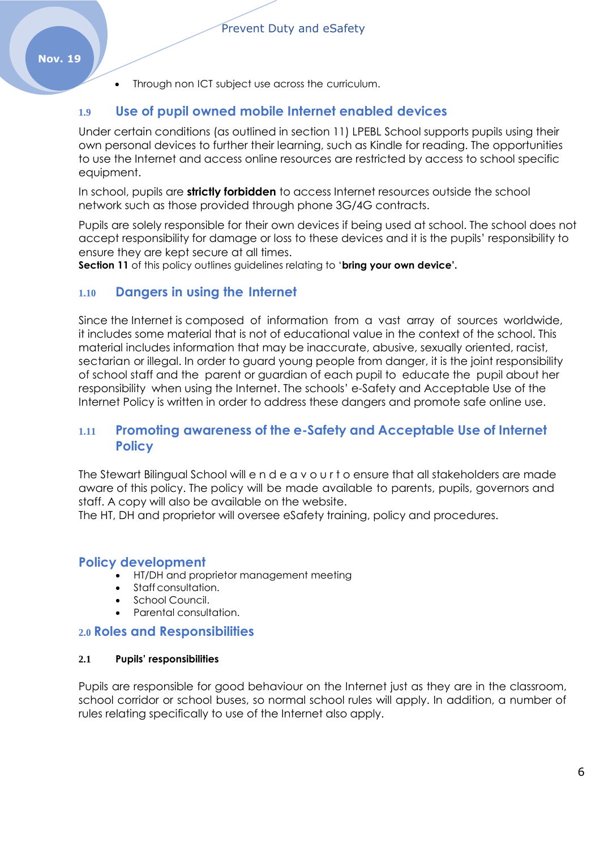• Through non ICT subject use across the curriculum.

## **1.9 Use of pupil owned mobile Internet enabled devices**

Under certain conditions (as outlined in section 11) LPEBL School supports pupils using their own personal devices to further their learning, such as Kindle for reading. The opportunities to use the Internet and access online resources are restricted by access to school specific equipment.

In school, pupils are **strictly forbidden** to access Internet resources outside the school network such as those provided through phone 3G/4G contracts.

Pupils are solely responsible for their own devices if being used at school. The school does not accept responsibility for damage or loss to these devices and it is the pupils' responsibility to ensure they are kept secure at all times.

**Section 11** of this policy outlines guidelines relating to '**bring your own device'.**

## **1.10 Dangers in using the Internet**

Since the Internet is composed of information from a vast array of sources worldwide, it includes some material that is not of educational value in the context of the school. This material includes information that may be inaccurate, abusive, sexually oriented, racist, sectarian or illegal. In order to guard young people from danger, it is the joint responsibility of school staff and the parent or guardian of each pupil to educate the pupil about her responsibility when using the Internet. The schools' e-Safety and Acceptable Use of the Internet Policy is written in order to address these dangers and promote safe online use.

## **1.11 Promoting awareness of the e-Safety and Acceptable Use of Internet Policy**

The Stewart Bilingual School will e n d e a v o u r t o ensure that all stakeholders are made aware of this policy. The policy will be made available to parents, pupils, governors and staff. A copy will also be available on the website.

The HT, DH and proprietor will oversee eSafety training, policy and procedures.

## **Policy development**

- HT/DH and proprietor management meeting
- Staff consultation.
- School Council.
- Parental consultation.

#### **2.0 Roles and Responsibilities**

#### **2.1 Pupils' responsibilities**

Pupils are responsible for good behaviour on the Internet just as they are in the classroom, school corridor or school buses, so normal school rules will apply. In addition, a number of rules relating specifically to use of the Internet also apply.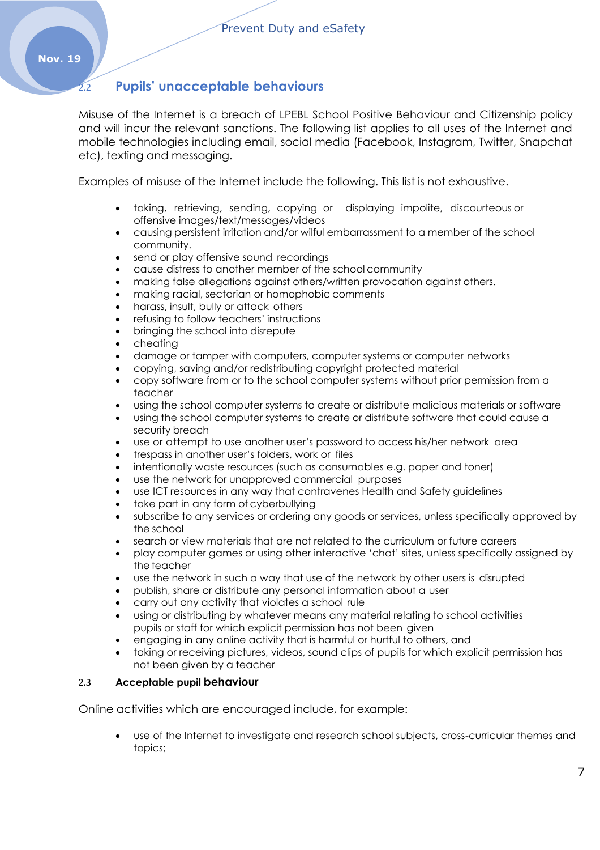## **2.2 Pupils' unacceptable behaviours**

Misuse of the Internet is a breach of LPEBL School Positive Behaviour and Citizenship policy and will incur the relevant sanctions. The following list applies to all uses of the Internet and mobile technologies including email, social media (Facebook, Instagram, Twitter, Snapchat etc), texting and messaging.

Examples of misuse of the Internet include the following. This list is not exhaustive.

- taking, retrieving, sending, copying or displaying impolite, discourteous or offensive images/text/messages/videos
- causing persistent irritation and/or wilful embarrassment to a member of the school community.
- send or play offensive sound recordings
- cause distress to another member of the school community
- making false allegations against others/written provocation against others.
- making racial, sectarian or homophobic comments
- harass, insult, bully or attack others
- refusing to follow teachers' instructions
- bringing the school into disrepute
- cheating
- damage or tamper with computers, computer systems or computer networks
- copying, saving and/or redistributing copyright protected material
- copy software from or to the school computer systems without prior permission from a teacher
- using the school computer systems to create or distribute malicious materials or software
- using the school computer systems to create or distribute software that could cause a security breach
- use or attempt to use another user's password to access his/her network area
- trespass in another user's folders, work or files
- intentionally waste resources (such as consumables e.g. paper and toner)
- use the network for unapproved commercial purposes
- use ICT resources in any way that contravenes Health and Safety guidelines
- take part in any form of cyberbullying
- subscribe to any services or ordering any goods or services, unless specifically approved by the school
- search or view materials that are not related to the curriculum or future careers
- play computer games or using other interactive 'chat' sites, unless specifically assigned by the teacher
- use the network in such a way that use of the network by other users is disrupted
- publish, share or distribute any personal information about a user
- carry out any activity that violates a school rule
- using or distributing by whatever means any material relating to school activities pupils or staff for which explicit permission has not been given
- engaging in any online activity that is harmful or hurtful to others, and
- taking or receiving pictures, videos, sound clips of pupils for which explicit permission has not been given by a teacher

#### **2.3 Acceptable pupil behaviour**

Online activities which are encouraged include, for example:

 use of the Internet to investigate and research school subjects, cross-curricular themes and topics;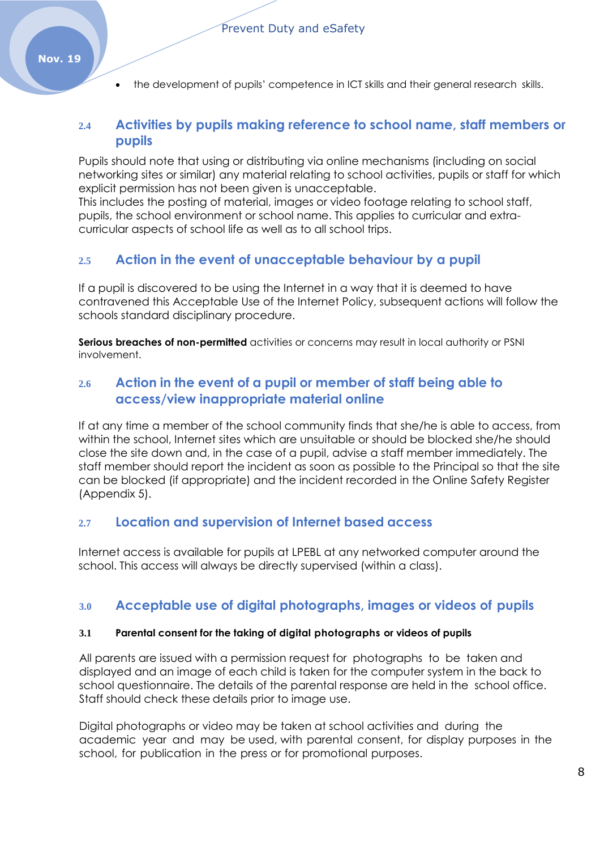• the development of pupils' competence in ICT skills and their general research skills.

## **2.4 Activities by pupils making reference to school name, staff members or pupils**

Pupils should note that using or distributing via online mechanisms (including on social networking sites or similar) any material relating to school activities, pupils or staff for which explicit permission has not been given is unacceptable.

This includes the posting of material, images or video footage relating to school staff, pupils, the school environment or school name. This applies to curricular and extracurricular aspects of school life as well as to all school trips.

## **2.5 Action in the event of unacceptable behaviour by a pupil**

If a pupil is discovered to be using the Internet in a way that it is deemed to have contravened this Acceptable Use of the Internet Policy, subsequent actions will follow the schools standard disciplinary procedure.

**Serious breaches of non-permitted** activities or concerns may result in local authority or PSNI involvement.

## **2.6 Action in the event of a pupil or member of staff being able to access/view inappropriate material online**

If at any time a member of the school community finds that she/he is able to access, from within the school, Internet sites which are unsuitable or should be blocked she/he should close the site down and, in the case of a pupil, advise a staff member immediately. The staff member should report the incident as soon as possible to the Principal so that the site can be blocked (if appropriate) and the incident recorded in the Online Safety Register (Appendix 5).

## **2.7 Location and supervision of Internet based access**

Internet access is available for pupils at LPEBL at any networked computer around the school. This access will always be directly supervised (within a class).

## **3.0 Acceptable use of digital photographs, images or videos of pupils**

#### **3.1 Parental consent for the taking of digital photographs or videos of pupils**

All parents are issued with a permission request for photographs to be taken and displayed and an image of each child is taken for the computer system in the back to school questionnaire. The details of the parental response are held in the school office. Staff should check these details prior to image use.

Digital photographs or video may be taken at school activities and during the academic year and may be used, with parental consent, for display purposes in the school, for publication in the press or for promotional purposes.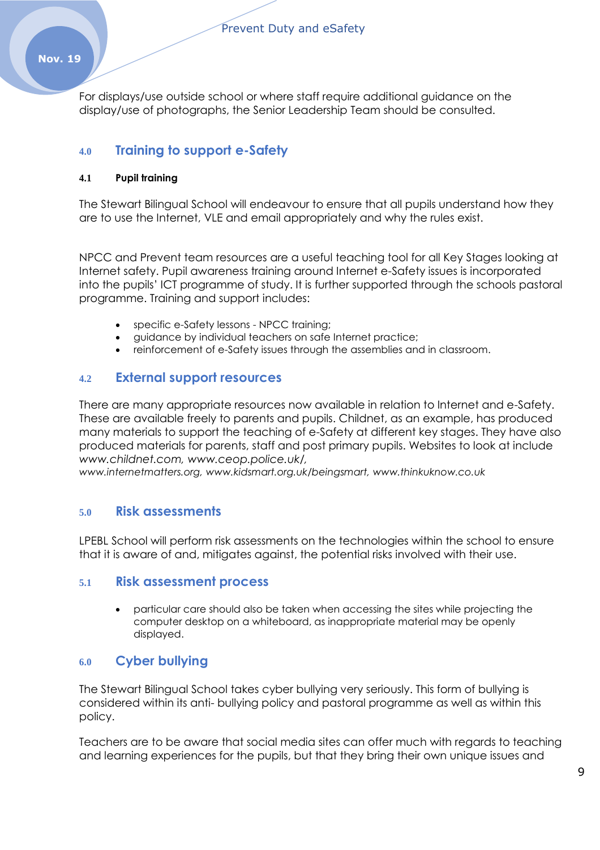For displays/use outside school or where staff require additional guidance on the display/use of photographs, the Senior Leadership Team should be consulted.

## **4.0 Training to support e-Safety**

#### **4.1 Pupil training**

The Stewart Bilingual School will endeavour to ensure that all pupils understand how they are to use the Internet, VLE and email appropriately and why the rules exist.

NPCC and Prevent team resources are a useful teaching tool for all Key Stages looking at Internet safety. Pupil awareness training around Internet e-Safety issues is incorporated into the pupils' ICT programme of study. It is further supported through the schools pastoral programme. Training and support includes:

- specific e-Safety lessons NPCC training;
- guidance by individual teachers on safe Internet practice;
- reinforcement of e-Safety issues through the assemblies and in classroom.

### **4.2 External support resources**

There are many appropriate resources now available in relation to Internet and e-Safety. These are available freely to parents and pupils. Childnet, as an example, has produced many materials to support the teaching of e-Safety at different key stages. They have also produced materials for parents, staff and post primary pupils. Websites to look at include *[www.childnet.com, www.ceop.police.uk/,](http://www.childnet.com/)*

*[www.internetmatters.org, www.kidsmart.org.uk/beingsmart,](http://www.internetmatters.org/) [www.thinkuknow.co.uk](http://www.thinkuknow.co.uk/)*

## **5.0 Risk assessments**

LPEBL School will perform risk assessments on the technologies within the school to ensure that it is aware of and, mitigates against, the potential risks involved with their use.

#### **5.1 Risk assessment process**

 particular care should also be taken when accessing the sites while projecting the computer desktop on a whiteboard, as inappropriate material may be openly displayed.

## **6.0 Cyber bullying**

The Stewart Bilingual School takes cyber bullying very seriously. This form of bullying is considered within its anti- bullying policy and pastoral programme as well as within this policy.

Teachers are to be aware that social media sites can offer much with regards to teaching and learning experiences for the pupils, but that they bring their own unique issues and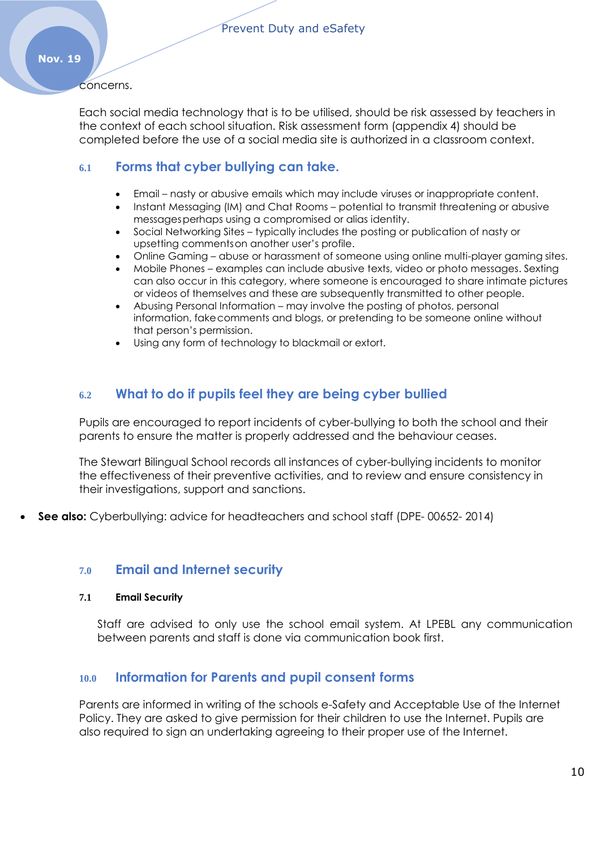concerns.

Each social media technology that is to be utilised, should be risk assessed by teachers in the context of each school situation. Risk assessment form (appendix 4) should be completed before the use of a social media site is authorized in a classroom context.

## **6.1 Forms that cyber bullying can take.**

- Email nasty or abusive emails which may include viruses or inappropriate content.
- Instant Messaging (IM) and Chat Rooms potential to transmit threatening or abusive messagesperhaps using a compromised or alias identity.
- Social Networking Sites typically includes the posting or publication of nasty or upsetting commentson another user's profile.
- Online Gaming abuse or harassment of someone using online multi-player gaming sites.
- Mobile Phones examples can include abusive texts, video or photo messages. Sexting can also occur in this category, where someone is encouraged to share intimate pictures or videos of themselves and these are subsequently transmitted to other people.
- Abusing Personal Information may involve the posting of photos, personal information, fakecomments and blogs, or pretending to be someone online without that person's permission.
- Using any form of technology to blackmail or extort.

## **6.2 What to do if pupils feel they are being cyber bullied**

Pupils are encouraged to report incidents of cyber-bullying to both the school and their parents to ensure the matter is properly addressed and the behaviour ceases.

The Stewart Bilingual School records all instances of cyber-bullying incidents to monitor the effectiveness of their preventive activities, and to review and ensure consistency in their investigations, support and sanctions.

**See also:** Cyberbullying: advice for headteachers and school staff (DPE- 00652- 2014)

#### **7.0 Email and Internet security**

#### **7.1 Email Security**

Staff are advised to only use the school email system. At LPEBL any communication between parents and staff is done via communication book first.

## **10.0 Information for Parents and pupil consent forms**

Parents are informed in writing of the schools e-Safety and Acceptable Use of the Internet Policy. They are asked to give permission for their children to use the Internet. Pupils are also required to sign an undertaking agreeing to their proper use of the Internet.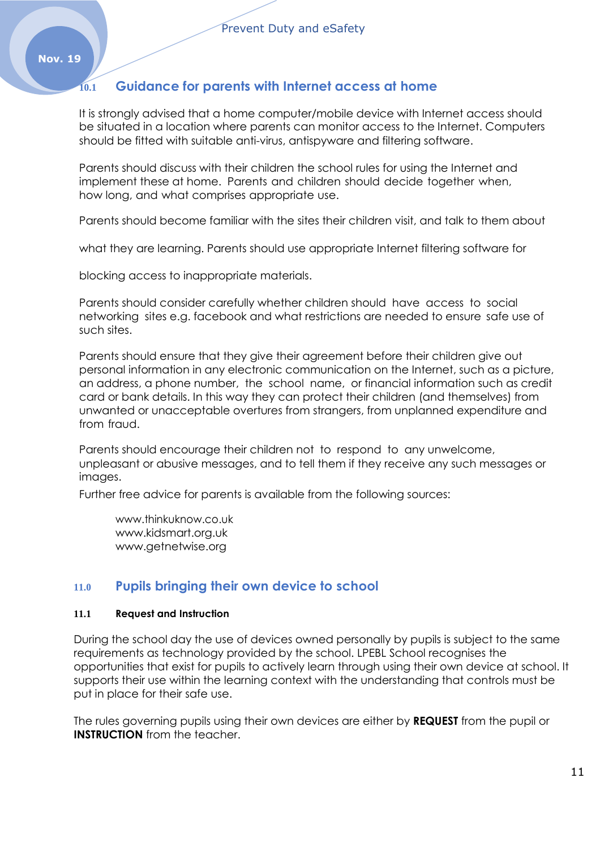## **10.1 Guidance for parents with Internet access at home**

It is strongly advised that a home computer/mobile device with Internet access should be situated in a location where parents can monitor access to the Internet. Computers should be fitted with suitable anti-virus, antispyware and filtering software.

Parents should discuss with their children the school rules for using the Internet and implement these at home. Parents and children should decide together when, how long, and what comprises appropriate use.

Parents should become familiar with the sites their children visit, and talk to them about

what they are learning. Parents should use appropriate Internet filtering software for

blocking access to inappropriate materials.

Parents should consider carefully whether children should have access to social networking sites e.g. facebook and what restrictions are needed to ensure safe use of such sites.

Parents should ensure that they give their agreement before their children give out personal information in any electronic communication on the Internet, such as a picture, an address, a phone number, the school name, or financial information such as credit card or bank details. In this way they can protect their children (and themselves) from unwanted or unacceptable overtures from strangers, from unplanned expenditure and from fraud.

Parents should encourage their children not to respond to any unwelcome, unpleasant or abusive messages, and to tell them if they receive any such messages or images.

Further free advice for parents is available from the following sources:

[www.thinkuknow.co.uk](http://www.thinkuknow.co.uk/) [www.kidsmart.org.uk](http://www.kidsmart.org.uk/) [www.getnetwise.org](http://www.getnetwise.org/)

## **11.0 Pupils bringing their own device to school**

#### **11.1 Request and Instruction**

During the school day the use of devices owned personally by pupils is subject to the same requirements as technology provided by the school. LPEBL School recognises the opportunities that exist for pupils to actively learn through using their own device at school. It supports their use within the learning context with the understanding that controls must be put in place for their safe use.

The rules governing pupils using their own devices are either by **REQUEST** from the pupil or **INSTRUCTION** from the teacher.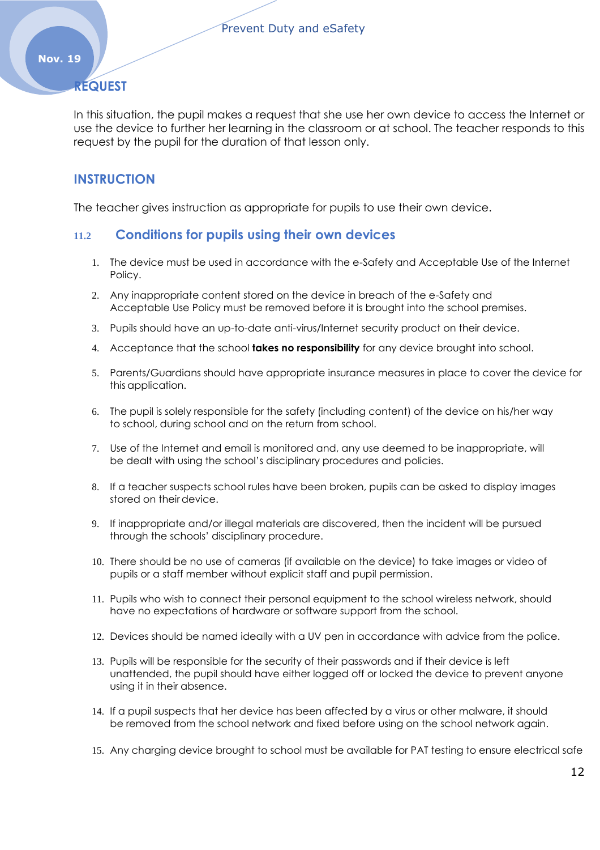## **REQUEST**

In this situation, the pupil makes a request that she use her own device to access the Internet or use the device to further her learning in the classroom or at school. The teacher responds to this request by the pupil for the duration of that lesson only.

## **INSTRUCTION**

The teacher gives instruction as appropriate for pupils to use their own device.

## **11.2 Conditions for pupils using their own devices**

- 1. The device must be used in accordance with the e-Safety and Acceptable Use of the Internet Policy.
- 2. Any inappropriate content stored on the device in breach of the e-Safety and Acceptable Use Policy must be removed before it is brought into the school premises.
- 3. Pupils should have an up-to-date anti-virus/Internet security product on their device.
- 4. Acceptance that the school **takes no responsibility** for any device brought into school.
- 5. Parents/Guardians should have appropriate insurance measures in place to cover the device for this application.
- 6. The pupil is solely responsible for the safety (including content) of the device on his/her way to school, during school and on the return from school.
- 7. Use of the Internet and email is monitored and, any use deemed to be inappropriate, will be dealt with using the school's disciplinary procedures and policies.
- 8. If a teacher suspects school rules have been broken, pupils can be asked to display images stored on their device.
- 9. If inappropriate and/or illegal materials are discovered, then the incident will be pursued through the schools' disciplinary procedure.
- 10. There should be no use of cameras (if available on the device) to take images or video of pupils or a staff member without explicit staff and pupil permission.
- 11. Pupils who wish to connect their personal equipment to the school wireless network, should have no expectations of hardware or software support from the school.
- 12. Devices should be named ideally with a UV pen in accordance with advice from the police.
- 13. Pupils will be responsible for the security of their passwords and if their device is left unattended, the pupil should have either logged off or locked the device to prevent anyone using it in their absence.
- 14. If a pupil suspects that her device has been affected by a virus or other malware, it should be removed from the school network and fixed before using on the school network again.
- 15. Any charging device brought to school must be available for PAT testing to ensure electrical safe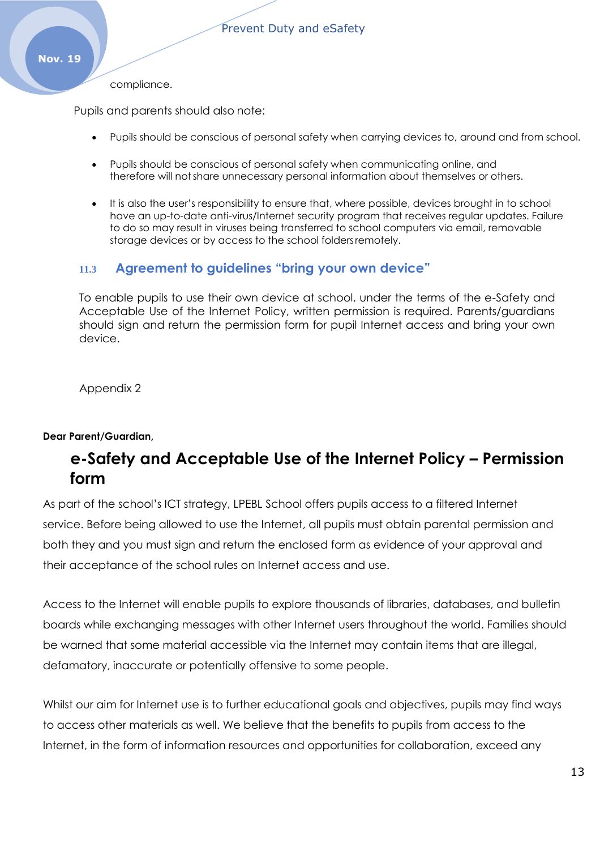#### compliance.

Pupils and parents should also note:

- Pupils should be conscious of personal safety when carrying devices to, around and from school.
- Pupils should be conscious of personal safety when communicating online, and therefore will notshare unnecessary personal information about themselves or others.
- It is also the user's responsibility to ensure that, where possible, devices brought in to school have an up-to-date anti-virus/Internet security program that receives regular updates. Failure to do so may result in viruses being transferred to school computers via email, removable storage devices or by access to the school foldersremotely.

## **11.3 Agreement to guidelines "bring your own device"**

To enable pupils to use their own device at school, under the terms of the e-Safety and Acceptable Use of the Internet Policy, written permission is required. Parents/guardians should sign and return the permission form for pupil Internet access and bring your own device.

Appendix 2

#### **Dear Parent/Guardian,**

## **e-Safety and Acceptable Use of the Internet Policy – Permission form**

As part of the school's ICT strategy, LPEBL School offers pupils access to a filtered Internet service. Before being allowed to use the Internet, all pupils must obtain parental permission and both they and you must sign and return the enclosed form as evidence of your approval and their acceptance of the school rules on Internet access and use.

Access to the Internet will enable pupils to explore thousands of libraries, databases, and bulletin boards while exchanging messages with other Internet users throughout the world. Families should be warned that some material accessible via the Internet may contain items that are illegal, defamatory, inaccurate or potentially offensive to some people.

Whilst our aim for Internet use is to further educational goals and objectives, pupils may find ways to access other materials as well. We believe that the benefits to pupils from access to the Internet, in the form of information resources and opportunities for collaboration, exceed any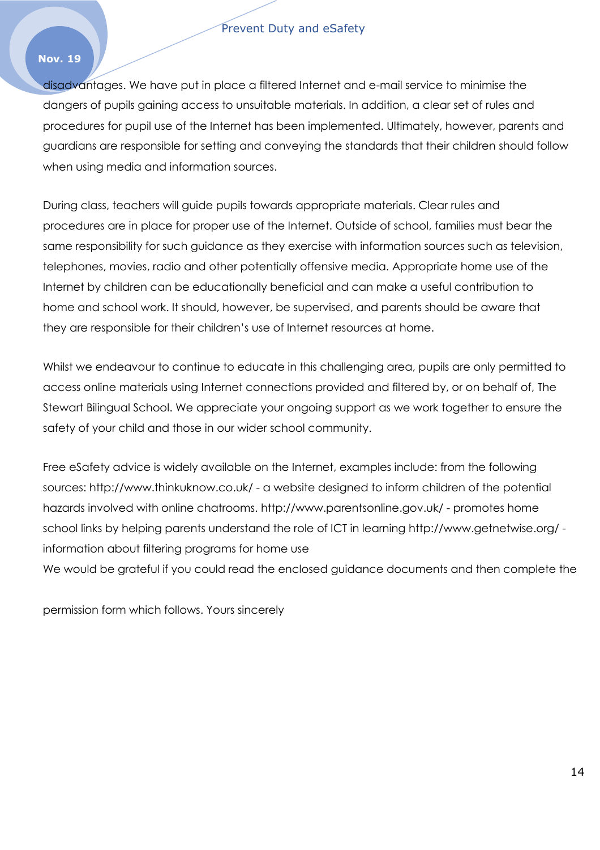#### Prevent Duty and eSafety

#### **Nov. 19**

disadvantages. We have put in place a filtered Internet and e-mail service to minimise the dangers of pupils gaining access to unsuitable materials. In addition, a clear set of rules and procedures for pupil use of the Internet has been implemented. Ultimately, however, parents and guardians are responsible for setting and conveying the standards that their children should follow when using media and information sources.

During class, teachers will guide pupils towards appropriate materials. Clear rules and procedures are in place for proper use of the Internet. Outside of school, families must bear the same responsibility for such guidance as they exercise with information sources such as television, telephones, movies, radio and other potentially offensive media. Appropriate home use of the Internet by children can be educationally beneficial and can make a useful contribution to home and school work. It should, however, be supervised, and parents should be aware that they are responsible for their children's use of Internet resources at home.

Whilst we endeavour to continue to educate in this challenging area, pupils are only permitted to access online materials using Internet connections provided and filtered by, or on behalf of, The Stewart Bilingual School. We appreciate your ongoing support as we work together to ensure the safety of your child and those in our wider school community.

Free eSafety advice is widely available on the Internet, examples include: from the following sources: [http://www.thinkuknow.co.uk/ -](http://www.thinkuknow.co.uk/) a website designed to inform children of the potential hazards involved with online chatrooms. [http://www.parentsonline.gov.uk/ -](http://www.parentsonline.gov.uk/) promotes home school links by helping parents understand the role of ICT in learning<http://www.getnetwise.org/> information about filtering programs for home use We would be grateful if you could read the enclosed guidance documents and then complete the

permission form which follows. Yours sincerely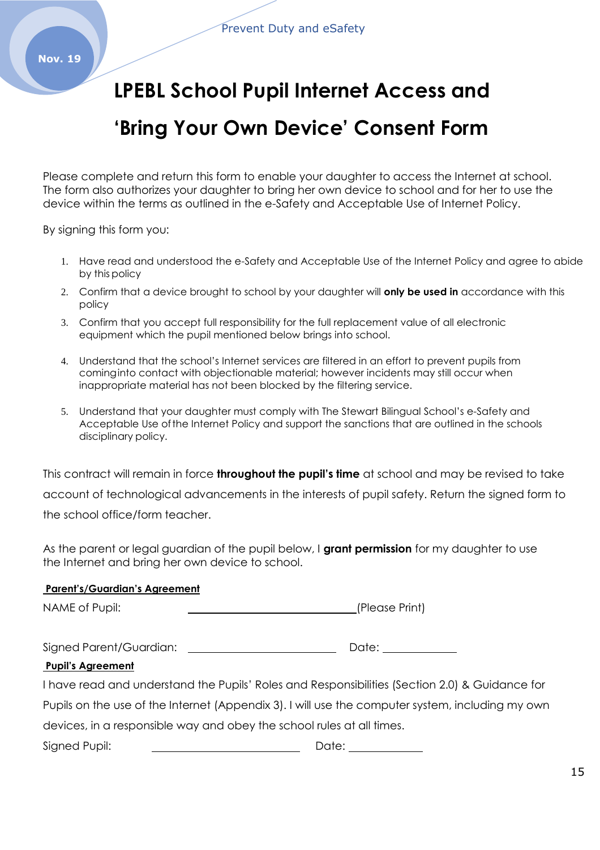## **LPEBL School Pupil Internet Access and**

## **'Bring Your Own Device' Consent Form**

Please complete and return this form to enable your daughter to access the Internet at school. The form also authorizes your daughter to bring her own device to school and for her to use the device within the terms as outlined in the e-Safety and Acceptable Use of Internet Policy.

By signing this form you:

- 1. Have read and understood the e-Safety and Acceptable Use of the Internet Policy and agree to abide by this policy
- 2. Confirm that a device brought to school by your daughter will **only be used in** accordance with this policy
- 3. Confirm that you accept full responsibility for the full replacement value of all electronic equipment which the pupil mentioned below brings into school.
- 4. Understand that the school's Internet services are filtered in an effort to prevent pupils from cominginto contact with objectionable material; however incidents may still occur when inappropriate material has not been blocked by the filtering service.
- 5. Understand that your daughter must comply with The Stewart Bilingual School's e-Safety and Acceptable Use ofthe Internet Policy and support the sanctions that are outlined in the schools disciplinary policy.

This contract will remain in force **throughout the pupil's time** at school and may be revised to take account of technological advancements in the interests of pupil safety. Return the signed form to the school office/form teacher.

As the parent or legal guardian of the pupil below, I **grant permission** for my daughter to use the Internet and bring her own device to school.

#### **Parent's/Guardian's Agreement**

NAME of Pupil:  $\qquad \qquad \qquad$  (Please Print)

| Signed Parent/Guardian: |  | Date: |
|-------------------------|--|-------|
|-------------------------|--|-------|

#### **Pupil's Agreement**

I have read and understand the Pupils' Roles and Responsibilities (Section 2.0) & Guidance for Pupils on the use of the Internet (Appendix 3). I will use the computer system, including my own devices, in a responsible way and obey the school rules at all times. Signed Pupil: Date: Date: Date: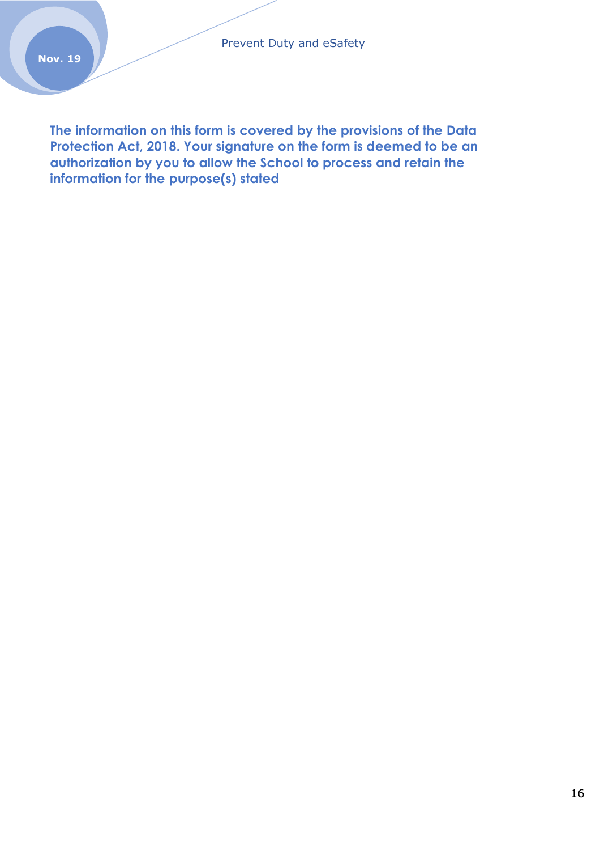**The information on this form is covered by the provisions of the Data Protection Act, 2018. Your signature on the form is deemed to be an authorization by you to allow the School to process and retain the information for the purpose(s) stated**